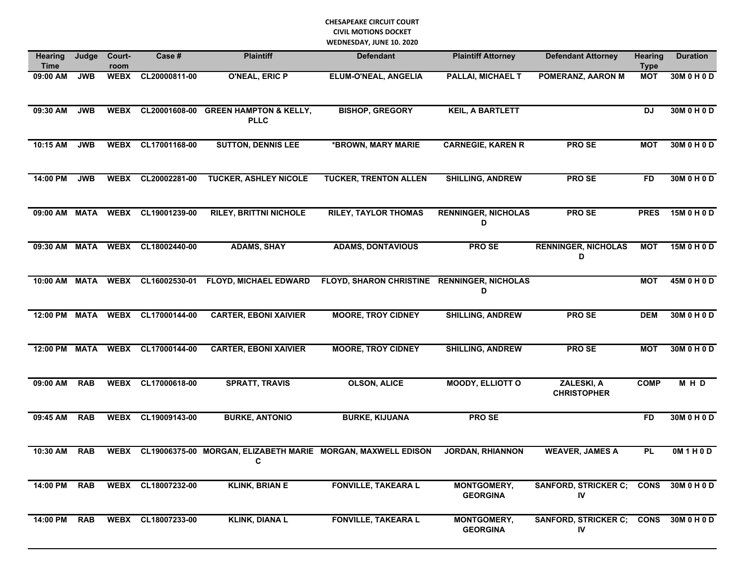## **CHESAPEAKE CIRCUIT COURT CIVIL MOTIONS DOCKET WEDNESDAY, JUNE 10. 2020**

| Hearing<br><b>Time</b> | Judge       | Court-<br>room | Case #             | <b>Plaintiff</b>                                    | <b>Defendant</b>                                             | <b>Plaintiff Attorney</b>             | <b>Defendant Attorney</b>        | <b>Hearing</b><br><b>Type</b> | <b>Duration</b> |
|------------------------|-------------|----------------|--------------------|-----------------------------------------------------|--------------------------------------------------------------|---------------------------------------|----------------------------------|-------------------------------|-----------------|
| 09:00 AM               | <b>JWB</b>  | <b>WEBX</b>    | CL20000811-00      | <b>O'NEAL, ERIC P</b>                               | <b>ELUM-O'NEAL, ANGELIA</b>                                  | <b>PALLAI, MICHAEL T</b>              | <b>POMERANZ, AARON M</b>         | <b>MOT</b>                    | 30M 0 H 0 D     |
| 09:30 AM               | <b>JWB</b>  | <b>WEBX</b>    |                    | CL20001608-00 GREEN HAMPTON & KELLY,<br><b>PLLC</b> | <b>BISHOP, GREGORY</b>                                       | <b>KEIL, A BARTLETT</b>               |                                  | <b>DJ</b>                     | 30M 0 H 0 D     |
| 10:15 AM               | <b>JWB</b>  |                | WEBX CL17001168-00 | <b>SUTTON, DENNIS LEE</b>                           | *BROWN, MARY MARIE                                           | <b>CARNEGIE, KAREN R</b>              | <b>PROSE</b>                     | <b>MOT</b>                    | 30M 0 H 0 D     |
| 14:00 PM               | <b>JWB</b>  | <b>WEBX</b>    | CL20002281-00      | <b>TUCKER, ASHLEY NICOLE</b>                        | <b>TUCKER, TRENTON ALLEN</b>                                 | <b>SHILLING, ANDREW</b>               | <b>PROSE</b>                     | <b>FD</b>                     | 30M 0 H 0 D     |
| 09:00 AM MATA          |             |                | WEBX CL19001239-00 | <b>RILEY, BRITTNI NICHOLE</b>                       | <b>RILEY, TAYLOR THOMAS</b>                                  | <b>RENNINGER, NICHOLAS</b><br>D       | PRO SE                           | <b>PRES</b>                   | 15M 0 H 0 D     |
| 09:30 AM               | <b>MATA</b> | <b>WEBX</b>    | CL18002440-00      | <b>ADAMS, SHAY</b>                                  | <b>ADAMS, DONTAVIOUS</b>                                     | <b>PROSE</b>                          | <b>RENNINGER, NICHOLAS</b><br>D  | <b>MOT</b>                    | 15M 0 H 0 D     |
| 10:00 AM MATA          |             | <b>WEBX</b>    | CL16002530-01      | <b>FLOYD, MICHAEL EDWARD</b>                        | <b>FLOYD, SHARON CHRISTINE</b>                               | <b>RENNINGER, NICHOLAS</b><br>D       |                                  | <b>MOT</b>                    | 45M 0 H 0 D     |
| 12:00 PM MATA          |             |                | WEBX CL17000144-00 | <b>CARTER, EBONI XAIVIER</b>                        | <b>MOORE, TROY CIDNEY</b>                                    | <b>SHILLING, ANDREW</b>               | <b>PRO SE</b>                    | <b>DEM</b>                    | 30M 0 H 0 D     |
| 12:00 PM MATA          |             | <b>WEBX</b>    | CL17000144-00      | <b>CARTER, EBONI XAIVIER</b>                        | <b>MOORE, TROY CIDNEY</b>                                    | <b>SHILLING, ANDREW</b>               | <b>PROSE</b>                     | <b>MOT</b>                    | 30M 0 H 0 D     |
| 09:00 AM               | <b>RAB</b>  |                | WEBX CL17000618-00 | <b>SPRATT, TRAVIS</b>                               | <b>OLSON, ALICE</b>                                          | <b>MOODY, ELLIOTT O</b>               | ZALESKI, A<br><b>CHRISTOPHER</b> | <b>COMP</b>                   | M H D           |
| 09:45 AM               | <b>RAB</b>  | <b>WEBX</b>    | CL19009143-00      | <b>BURKE, ANTONIO</b>                               | <b>BURKE, KIJUANA</b>                                        | <b>PROSE</b>                          |                                  | <b>FD</b>                     | 30M 0 H 0 D     |
| 10:30 AM               | <b>RAB</b>  | <b>WEBX</b>    |                    | С                                                   | CL19006375-00 MORGAN, ELIZABETH MARIE MORGAN, MAXWELL EDISON | <b>JORDAN, RHIANNON</b>               | <b>WEAVER, JAMES A</b>           | <b>PL</b>                     | OM1H0D          |
| 14:00 PM RAB           |             |                | WEBX CL18007232-00 | <b>KLINK, BRIAN E</b>                               | <b>FONVILLE, TAKEARA L</b>                                   | <b>MONTGOMERY,</b><br><b>GEORGINA</b> | SANFORD, STRICKER C; CONS<br>IV  |                               | 30M 0 H 0 D     |
| 14:00 PM               | <b>RAB</b>  |                | WEBX CL18007233-00 | <b>KLINK, DIANA L</b>                               | <b>FONVILLE, TAKEARA L</b>                                   | <b>MONTGOMERY,</b><br><b>GEORGINA</b> | SANFORD, STRICKER C; CONS<br>IV  |                               | 30M 0 H 0 D     |